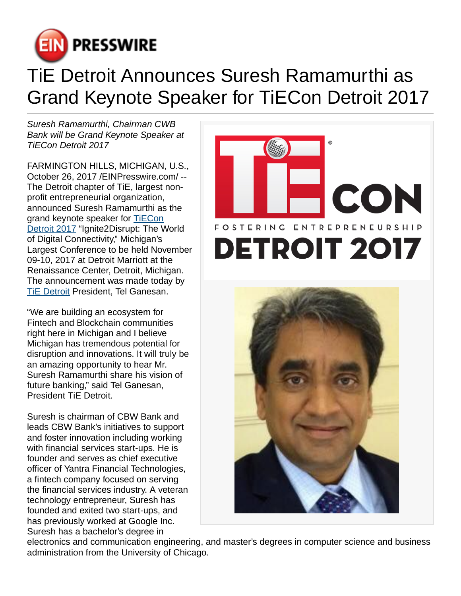

## TiE Detroit Announces Suresh Ramamurthi as Grand Keynote Speaker for TiECon Detroit 2017

Suresh Ramamurthi, Chairman CWB Bank will be Grand Keynote Speaker at TiECon Detroit 2017

FARMINGTON HILLS, MICHIGAN, U.S., October 26, 2017 [/EINPresswire.com/](http://www.einpresswire.com) -- The Detroit chapter of TiE, largest nonprofit entrepreneurial organization, announced Suresh Ramamurthi as the grand keynote speaker for [TiECon](http://www.tiecondetroit.org/) [Detroit 2017](http://www.tiecondetroit.org/) "Ignite2Disrupt: The World of Digital Connectivity," Michigan's Largest Conference to be held November 09-10, 2017 at Detroit Marriott at the Renaissance Center, Detroit, Michigan. The announcement was made today by [TiE Detroit](http://www.detroit.tie.org/) President, Tel Ganesan.

"We are building an ecosystem for Fintech and Blockchain communities right here in Michigan and I believe Michigan has tremendous potential for disruption and innovations. It will truly be an amazing opportunity to hear Mr. Suresh Ramamurthi share his vision of future banking," said Tel Ganesan, President TiE Detroit.

Suresh is chairman of CBW Bank and leads CBW Bank's initiatives to support and foster innovation including working with financial services start-ups. He is founder and serves as chief executive officer of Yantra Financial Technologies, a fintech company focused on serving the financial services industry. A veteran technology entrepreneur, Suresh has founded and exited two start-ups, and has previously worked at Google Inc. Suresh has a bachelor's degree in





electronics and communication engineering, and master's degrees in computer science and business administration from the University of Chicago.